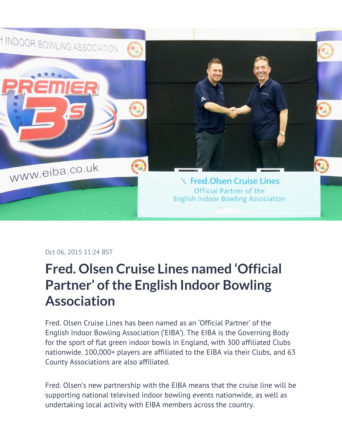

## Oct 06, 2015 11:24 BST

## **Fred. Olsen Cruise Lines named 'Official Partner' of the English Indoor Bowling Association**

Fred. Olsen Cruise Lines has been named as an 'Official Partner' of the English Indoor Bowling Association ('EIBA'). The EIBA is the Governing Body for the sport of flat green indoor bowls in England, with 300 affiliated Clubs nationwide. 100,000+ players are affiliated to the EIBA via their Clubs, and 63 County Associations are also affiliated.

Fred. Olsen's new partnership with the EIBA means that the cruise line will be supporting national televised indoor bowling events nationwide, as well as undertaking local activity with EIBA members across the country.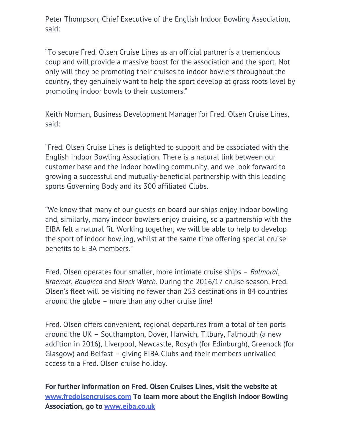Peter Thompson, Chief Executive of the English Indoor Bowling Association, said:

"To secure Fred. Olsen Cruise Lines as an official partner is a tremendous coup and will provide a massive boost for the association and the sport. Not only will they be promoting their cruises to indoor bowlers throughout the country, they genuinely want to help the sport develop at grass roots level by promoting indoor bowls to their customers."

Keith Norman, Business Development Manager for Fred. Olsen Cruise Lines, said:

"Fred. Olsen Cruise Lines is delighted to support and be associated with the English Indoor Bowling Association. There is a natural link between our customer base and the indoor bowling community, and we look forward to growing a successful and mutually-beneficial partnership with this leading sports Governing Body and its 300 affiliated Clubs.

"We know that many of our guests on board our ships enjoy indoor bowling and, similarly, many indoor bowlers enjoy cruising, so a partnership with the EIBA felt a natural fit. Working together, we will be able to help to develop the sport of indoor bowling, whilst at the same time offering special cruise benefits to EIBA members."

Fred. Olsen operates four smaller, more intimate cruise ships – *Balmoral*, *Braemar*, *Boudicca* and *Black Watch.* During the 2016/17 cruise season, Fred. Olsen's fleet will be visiting no fewer than 253 destinations in 84 countries around the globe – more than any other cruise line!

Fred. Olsen offers convenient, regional departures from a total of ten ports around the UK – Southampton, Dover, Harwich, Tilbury, Falmouth (a new addition in 2016), Liverpool, Newcastle, Rosyth (for Edinburgh), Greenock (for Glasgow) and Belfast – giving EIBA Clubs and their members unrivalled access to a Fred. Olsen cruise holiday.

**For further information on Fred. Olsen Cruises Lines, visit the website at [www.fredolsencruises.com](http://www.fredolsencruises.com/) To learn more about the English Indoor Bowling Association, go to [www.eiba.co.uk](http://www.eiba.co.uk/)**